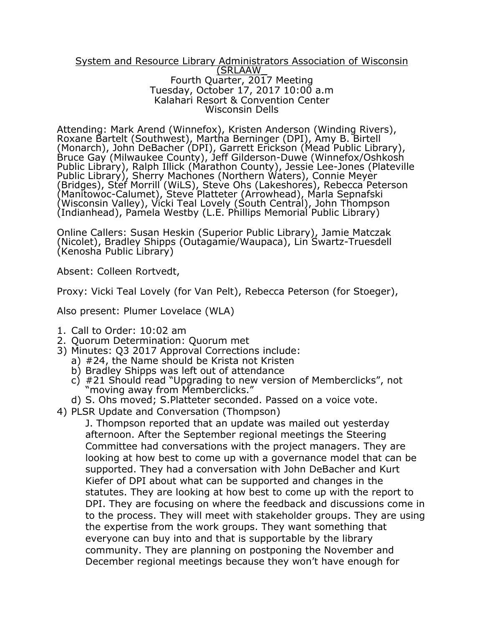## System and Resource Library Administrators Association of Wisconsin (SRLAAW\_ Fourth Quarter, 2017 Meeting Tuesday, October 17, 2017 10:00 a.m Kalahari Resort & Convention Center Wisconsin Dells

Attending: Mark Arend (Winnefox), Kristen Anderson (Winding Rivers), Roxane Bartelt (Southwest), Martha Berninger (DPI), Amy B. Birtell (Monarch), John DeBacher (DPI), Garrett Erickson (Mead Public Library), Bruce Gay (Milwaukee County), Jeff Gilderson-Duwe (Winnefox/Oshkosh Public Library), Ralph Illick (Marathon County), Jessie Lee-Jones (Plateville Public Library), Sherry Machones (Northern Waters), Connie Meyer (Bridges), Stef Morrill (WiLS), Steve Ohs (Lakeshores), Rebecca Peterson (Manitowoc-Calumet), Steve Platteter (Arrowhead), Marla Sepnafski (Wisconsin Valley), Vicki Teal Lovely (South Central), John Thompson (Indianhead), Pamela Westby (L.E. Phillips Memorial Public Library)

Online Callers: Susan Heskin (Superior Public Library), Jamie Matczak (Nicolet), Bradley Shipps (Outagamie/Waupaca), Lin Swartz-Truesdell (Kenosha Public Library)

Absent: Colleen Rortvedt,

Proxy: Vicki Teal Lovely (for Van Pelt), Rebecca Peterson (for Stoeger),

Also present: Plumer Lovelace (WLA)

- 1. Call to Order: 10:02 am
- 2. Quorum Determination: Quorum met
- 3) Minutes: Q3 2017 Approval Corrections include:
	- a) #24, the Name should be Krista not Kristen
	- b) Bradley Shipps was left out of attendance
	- $c$ ) #21 Should read "Upgrading to new version of Memberclicks", not "moving away from Memberclicks."
	- d) S. Ohs moved; S.Platteter seconded. Passed on a voice vote.
- 4) PLSR Update and Conversation (Thompson)

J. Thompson reported that an update was mailed out yesterday afternoon. After the September regional meetings the Steering Committee had conversations with the project managers. They are looking at how best to come up with a governance model that can be supported. They had a conversation with John DeBacher and Kurt Kiefer of DPI about what can be supported and changes in the statutes. They are looking at how best to come up with the report to DPI. They are focusing on where the feedback and discussions come in to the process. They will meet with stakeholder groups. They are using the expertise from the work groups. They want something that everyone can buy into and that is supportable by the library community. They are planning on postponing the November and December regional meetings because they won't have enough for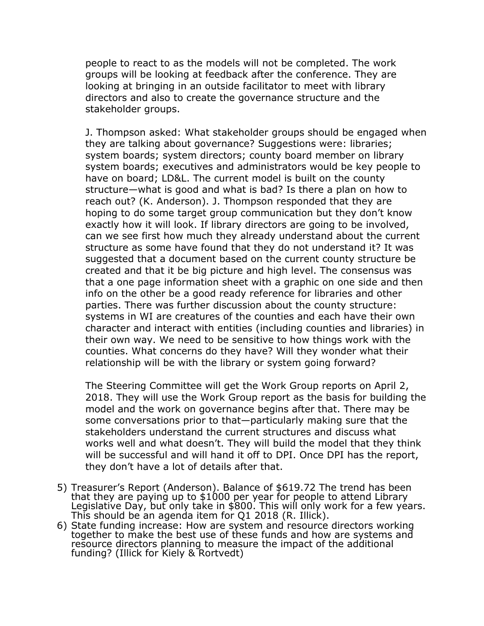people to react to as the models will not be completed. The work groups will be looking at feedback after the conference. They are looking at bringing in an outside facilitator to meet with library directors and also to create the governance structure and the stakeholder groups.

J. Thompson asked: What stakeholder groups should be engaged when they are talking about governance? Suggestions were: libraries; system boards; system directors; county board member on library system boards; executives and administrators would be key people to have on board; LD&L. The current model is built on the county structure—what is good and what is bad? Is there a plan on how to reach out? (K. Anderson). J. Thompson responded that they are hoping to do some target group communication but they don't know exactly how it will look. If library directors are going to be involved, can we see first how much they already understand about the current structure as some have found that they do not understand it? It was suggested that a document based on the current county structure be created and that it be big picture and high level. The consensus was that a one page information sheet with a graphic on one side and then info on the other be a good ready reference for libraries and other parties. There was further discussion about the county structure: systems in WI are creatures of the counties and each have their own character and interact with entities (including counties and libraries) in their own way. We need to be sensitive to how things work with the counties. What concerns do they have? Will they wonder what their relationship will be with the library or system going forward?

The Steering Committee will get the Work Group reports on April 2, 2018. They will use the Work Group report as the basis for building the model and the work on governance begins after that. There may be some conversations prior to that—particularly making sure that the stakeholders understand the current structures and discuss what works well and what doesn't. They will build the model that they think will be successful and will hand it off to DPI. Once DPI has the report, they don't have a lot of details after that.

- 5) Treasurer's Report (Anderson). Balance of \$619.72 The trend has been that they are paying up to \$1000 per year for people to attend Library Legislative Day, but only take in \$800. This will only work for a few years. This should be an agenda item for Q1 2018 (R. Illick).
- 6) State funding increase: How are system and resource directors working together to make the best use of these funds and how are systems and resource directors planning to measure the impact of the additional funding? (Illick for Kiely & Rortvedt)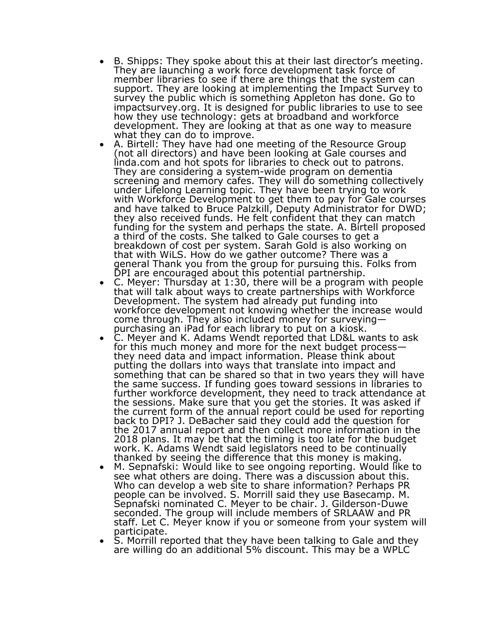- B. Shipps: They spoke about this at their last director's meeting. They are launching a work force development task force of member libraries to see if there are things that the system can support. They are looking at implementing the Impact Survey to survey the public which is something Appleton has done. Go to impactsurvey.org. It is designed for public libraries to use to see how they use technology: gets at broadband and workforce development. They are looking at that as one way to measure what they can do to improve.
- A. Birtell: They have had one meeting of the Resource Group (not all directors) and have been looking at Gale courses and linda.com and hot spots for libraries to check out to patrons. They are considering a system-wide program on dementia screening and memory cafes. They will do something collectively under Lifelong Learning topic. They have been trying to work with Workforce Development to get them to pay for Gale courses and have talked to Bruce Palzkill, Deputy Administrator for DWD; they also received funds. He felt confident that they can match funding for the system and perhaps the state. A. Birtell proposed a third of the costs. She talked to Gale courses to get a breakdown of cost per system. Sarah Gold is also working on that with WiLS. How do we gather outcome? There was a general Thank you from the group for pursuing this. Folks from DPI are encouraged about this potential partnership.
- C. Meyer: Thursday at 1:30, there will be a program with people that will talk about ways to create partnerships with Workforce Development. The system had already put funding into workforce development not knowing whether the increase would come through. They also included money for surveying purchasing an iPad for each library to put on a kiosk.
- C. Meyer and K. Adams Wendt reported that LD&L wants to ask for this much money and more for the next budget process they need data and impact information. Please think about putting the dollars into ways that translate into impact and something that can be shared so that in two years they will have the same success. If funding goes toward sessions in libraries to further workforce development, they need to track attendance at the sessions. Make sure that you get the stories. It was asked if the current form of the annual report could be used for reporting back to DPI? J. DeBacher said they could add the question for the 2017 annual report and then collect more information in the 2018 plans. It may be that the timing is too late for the budget work. K. Adams Wendt said legislators need to be continually thanked by seeing the difference that this money is making.
- M. Sepnafski: Would like to see ongoing reporting. Would like to see what others are doing. There was a discussion about this. Who can develop a web site to share information? Perhaps PR people can be involved. S. Morrill said they use Basecamp. M. Sepnafski nominated C. Meyer to be chair. J. Gilderson-Duwe seconded. The group will include members of SRLAAW and PR staff. Let C. Meyer know if you or someone from your system will participate.
- S. Morrill reported that they have been talking to Gale and they are willing do an additional 5% discount. This may be a WPLC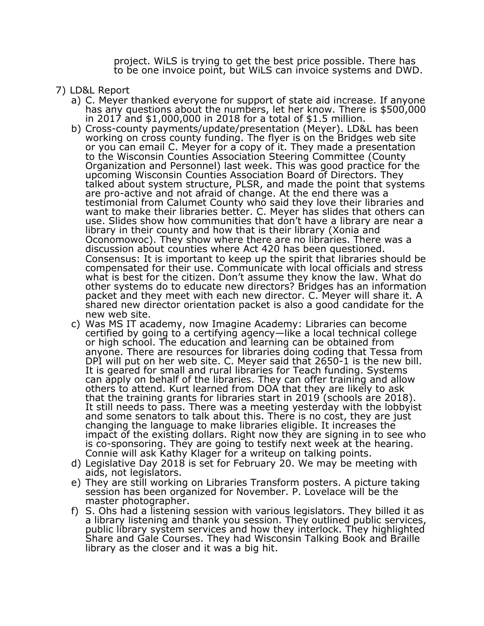project. WiLS is trying to get the best price possible. There has to be one invoice point, but WiLS can invoice systems and DWD.

- 7) LD&L Report
	- a) C. Meyer thanked everyone for support of state aid increase. If anyone has any questions about the numbers, let her know. There is \$500,000 in 2017 and \$1,000,000 in 2018 for a total of \$1.5 million.
	- b) Cross-county payments/update/presentation (Meyer). LD&L has been working on cross county funding. The flyer is on the Bridges web site or you can email C. Meyer for a copy of it. They made a presentation to the Wisconsin Counties Association Steering Committee (County Organization and Personnel) last week. This was good practice for the upcoming Wisconsin Counties Association Board of Directors. They talked about system structure, PLSR, and made the point that systems are pro-active and not afraid of change. At the end there was a testimonial from Calumet County who said they love their libraries and want to make their libraries better. C. Meyer has slides that others can use. Slides show how communities that don't have a library are near a library in their county and how that is their library (Xonia and Oconomowoc). They show where there are no libraries. There was a discussion about counties where Act 420 has been questioned. Consensus: It is important to keep up the spirit that libraries should be compensated for their use. Communicate with local officials and stress what is best for the citizen. Don't assume they know the law. What do other systems do to educate new directors? Bridges has an information packet and they meet with each new director. C. Meyer will share it. A shared new director orientation packet is also a good candidate for the new web site.
	- c) Was MS IT academy, now Imagine Academy: Libraries can become certified by going to a certifying agency—like a local technical college or high school. The education and learning can be obtained from anyone. There are resources for libraries doing coding that Tessa from DPI will put on her web site. C. Meyer said that 2650-1 is the new bill. It is geared for small and rural libraries for Teach funding. Systems can apply on behalf of the libraries. They can offer training and allow others to attend. Kurt learned from DOA that they are likely to ask that the training grants for libraries start in 2019 (schools are 2018). It still needs to pass. There was a meeting yesterday with the lobbyist and some senators to talk about this. There is no cost, they are just changing the language to make libraries eligible. It increases the impact of the existing dollars. Right now they are signing in to see who is co-sponsoring. They are going to testify next week at the hearing. Connie will ask Kathy Klager for a writeup on talking points.
	- d) Legislative Day 2018 is set for February 20. We may be meeting with aids, not legislators.
	- e) They are still working on Libraries Transform posters. A picture taking session has been organized for November. P. Lovelace will be the master photographer.
	- f) S. Ohs had a listening session with various legislators. They billed it as a library listening and thank you session. They outlined public services, public library system services and how they interlock. They highlighted Share and Gale Courses. They had Wisconsin Talking Book and Braille library as the closer and it was a big hit.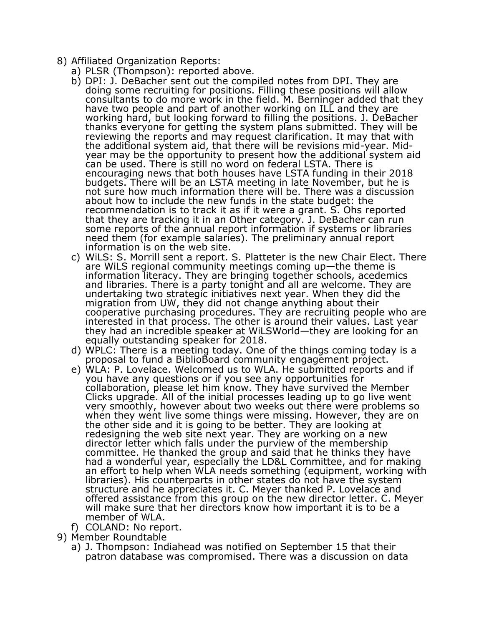- 8) Affiliated Organization Reports:
	- a) PLSR (Thompson): reported above.
	- b) DPI: J. DeBacher sent out the compiled notes from DPI. They are doing some recruiting for positions. Filling these positions will allow consultants to do more work in the field. M. Berninger added that they have two people and part of another working on ILL and they are working hard, but looking forward to filling the positions. J. DeBacher thanks everyone for getting the system plans submitted. They will be reviewing the reports and may request clarification. It may that with the additional system aid, that there will be revisions mid-year. Midyear may be the opportunity to present how the additional system aid can be used. There is still no word on federal LSTA. There is encouraging news that both houses have LSTA funding in their 2018 budgets. There will be an LSTA meeting in late November, but he is not sure how much information there will be. There was a discussion about how to include the new funds in the state budget: the recommendation is to track it as if it were a grant. S. Ohs reported that they are tracking it in an Other category. J. DeBacher can run some reports of the annual report information if systems or libraries need them (for example salaries). The preliminary annual report information is on the web site.
	- c) WiLS: S. Morrill sent a report. S. Platteter is the new Chair Elect. There are WiLS regional community meetings coming up—the theme is information literacy. They are bringing together schools, acedemics and libraries. There is a party tonight and all are welcome. They are undertaking two strategic initiatives next year. When they did the migration from UW, they did not change anything about their cooperative purchasing procedures. They are recruiting people who are interested in that process. The other is around their values. Last year they had an incredible speaker at WiLSWorld—they are looking for an equally outstanding speaker for 2018.
	- d) WPLC: There is a meeting today. One of the things coming today is a proposal to fund a BiblioBoard community engagement project.
	- e) WLA: P. Lovelace. Welcomed us to WLA. He submitted reports and if you have any questions or if you see any opportunities for collaboration, please let him know. They have survived the Member Clicks upgrade. All of the initial processes leading up to go live went very smoothly, however about two weeks out there were problems so when they went live some things were missing. However, they are on the other side and it is going to be better. They are looking at redesigning the web site next year. They are working on a new director letter which falls under the purview of the membership committee. He thanked the group and said that he thinks they have had a wonderful year, especially the LD&L Committee, and for making an effort to help when WLA needs something (equipment, working with libraries). His counterparts in other states do not have the system structure and he appreciates it. C. Meyer thanked P. Lovelace and offered assistance from this group on the new director letter. C. Meyer will make sure that her directors know how important it is to be a member of WLA.
	- f) COLAND: No report.
- 9) Member Roundtable
	- a) J. Thompson: Indiahead was notified on September 15 that their patron database was compromised. There was a discussion on data